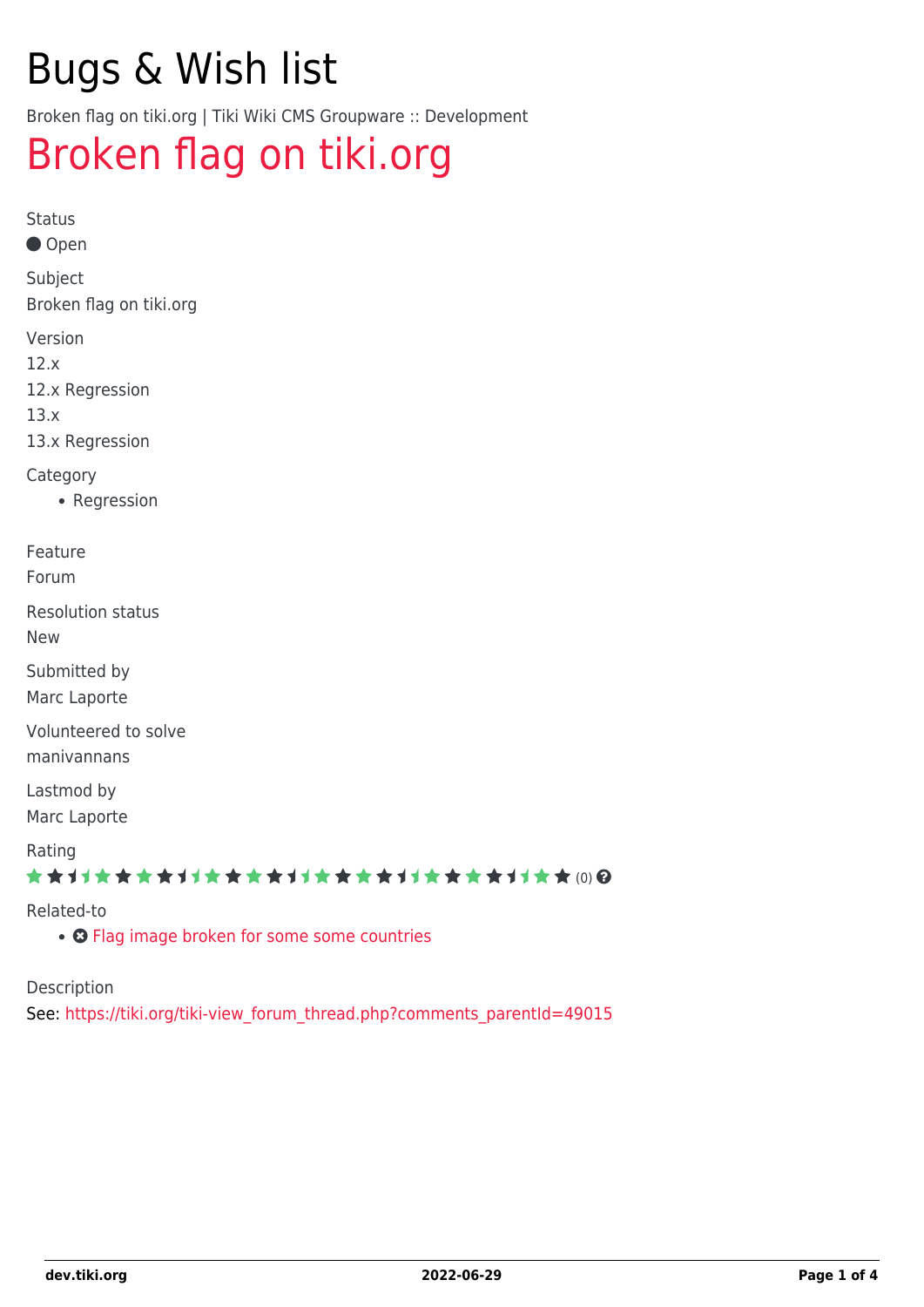# Bugs & Wish list

Broken flag on tiki.org | Tiki Wiki CMS Groupware :: Development

## [Broken flag on tiki.org](https://dev.tiki.org/item4992-Broken-flag-on-tiki-org)

Status

● Open

Subject Broken flag on tiki.org

Version

12.x

12.x Regression

13.x

13.x Regression

Category

• Regression

Feature

Forum

Resolution status

New

Submitted by Marc Laporte

Volunteered to solve manivannans

Lastmod by Marc Laporte

Rating

#### ★★11★★★★11★★★★11★★★★11★★★★11★★ (0) @

#### Related-to

• **O** [Flag image broken for some some countries](https://dev.tiki.org/item4867-Flag-image-broken-for-some-some-countries)

Description

See: [https://tiki.org/tiki-view\\_forum\\_thread.php?comments\\_parentId=49015](https://tiki.org/tiki-view_forum_thread.php?comments_parentId=49015)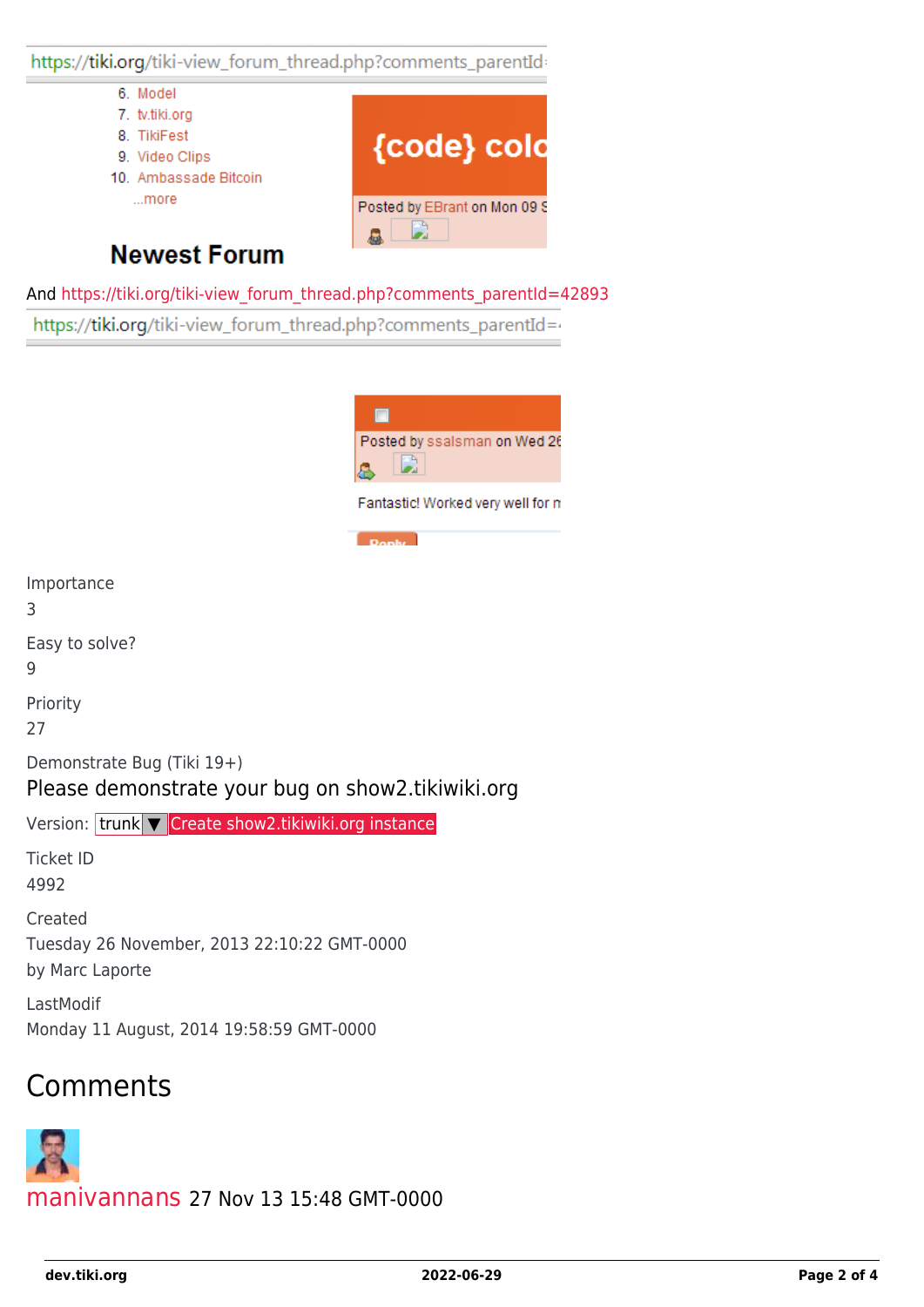https://tiki.org/tiki-view\_forum\_thread.php?comments\_parentId

- 6. Model
- 7. tv.tiki.org
- 8. TikiFest
- 9. Video Clips
- 10. Ambassade Bitcoin ...more



#### **Newest Forum**

And [https://tiki.org/tiki-view\\_forum\\_thread.php?comments\\_parentId=42893](https://tiki.org/tiki-view_forum_thread.php?comments_parentId=42893)

https://tiki.org/tiki-view\_forum\_thread.php?comments\_parentId=4



## Comments

by Marc Laporte

Importance

Easy to solve?

3

9

Priority 27

Ticket ID 4992

Created

LastModif

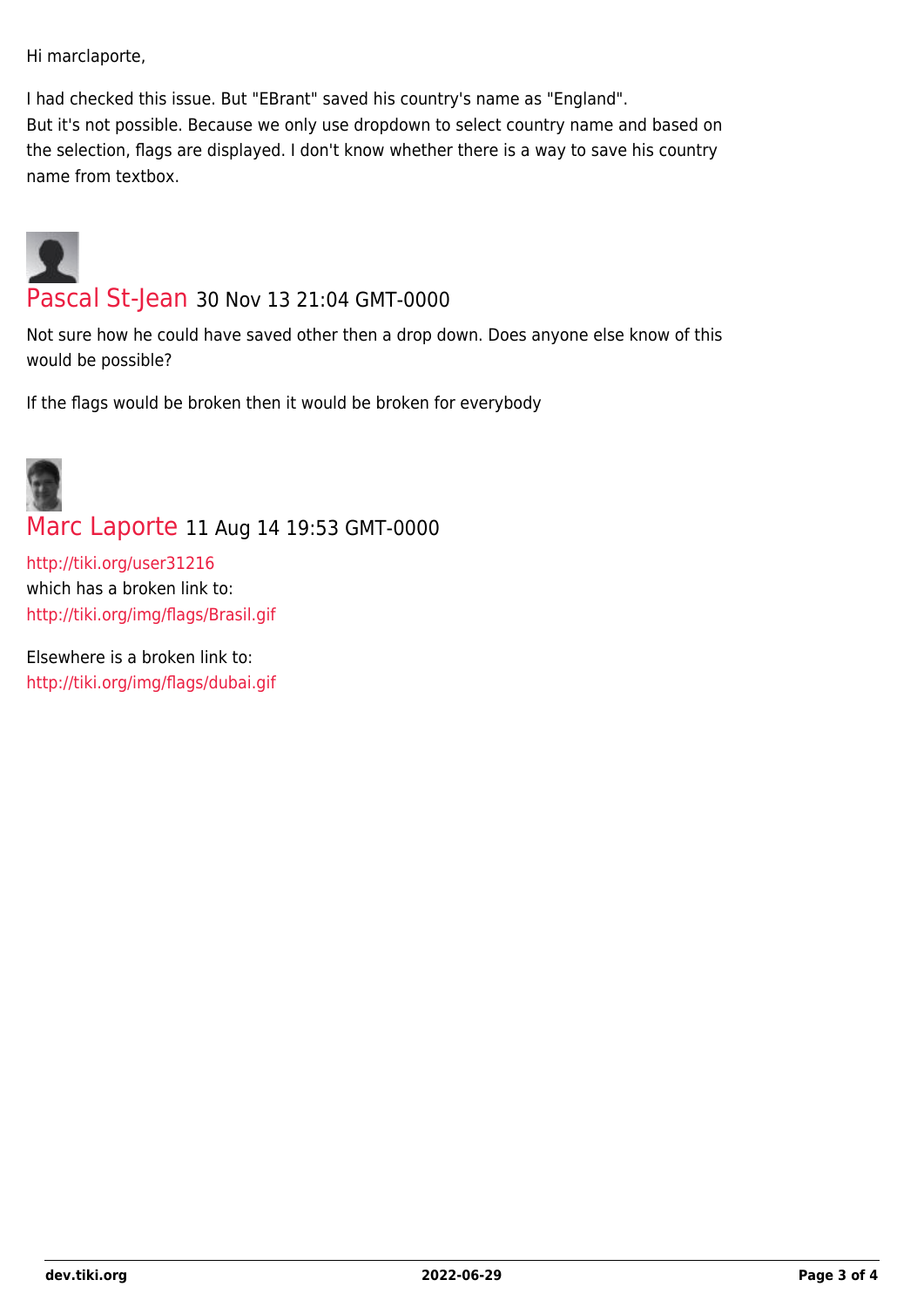Hi marclaporte,

I had checked this issue. But "EBrant" saved his country's name as "England". But it's not possible. Because we only use dropdown to select country name and based on the selection, flags are displayed. I don't know whether there is a way to save his country name from textbox.



Not sure how he could have saved other then a drop down. Does anyone else know of this would be possible?

If the flags would be broken then it would be broken for everybody

# [Marc Laporte](https://dev.tiki.org/user11197) 11 Aug 14 19:53 GMT-0000

<http://tiki.org/user31216> which has a broken link to: <http://tiki.org/img/flags/Brasil.gif>

Elsewhere is a broken link to: <http://tiki.org/img/flags/dubai.gif>